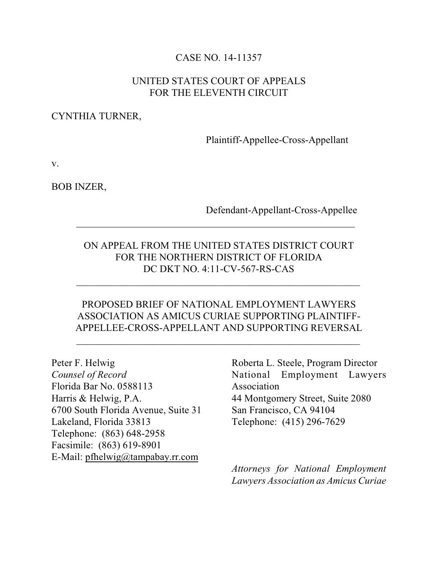### CASE NO. 14-11357

### UNITED STATES COURT OF APPEALS FOR THE ELEVENTH CIRCUIT

#### CYNTHIA TURNER,

Plaintiff-Appellee-Cross-Appellant

v.

BOB INZER,

#### Defendant-Appellant-Cross-Appellee

## ON APPEAL FROM THE UNITED STATES DISTRICT COURT FOR THE NORTHERN DISTRICT OF FLORIDA DC DKT NO. 4:11-CV-567-RS-CAS

 $\mathcal{L}_\text{max} = \frac{1}{2} \sum_{i=1}^{n} \frac{1}{2} \sum_{i=1}^{n} \frac{1}{2} \sum_{i=1}^{n} \frac{1}{2} \sum_{i=1}^{n} \frac{1}{2} \sum_{i=1}^{n} \frac{1}{2} \sum_{i=1}^{n} \frac{1}{2} \sum_{i=1}^{n} \frac{1}{2} \sum_{i=1}^{n} \frac{1}{2} \sum_{i=1}^{n} \frac{1}{2} \sum_{i=1}^{n} \frac{1}{2} \sum_{i=1}^{n} \frac{1}{2} \sum_{i=1}^{n} \frac{1$ 

 $\mathcal{L}_\text{max} = \frac{1}{2} \sum_{i=1}^{n} \frac{1}{2} \sum_{i=1}^{n} \frac{1}{2} \sum_{i=1}^{n} \frac{1}{2} \sum_{i=1}^{n} \frac{1}{2} \sum_{i=1}^{n} \frac{1}{2} \sum_{i=1}^{n} \frac{1}{2} \sum_{i=1}^{n} \frac{1}{2} \sum_{i=1}^{n} \frac{1}{2} \sum_{i=1}^{n} \frac{1}{2} \sum_{i=1}^{n} \frac{1}{2} \sum_{i=1}^{n} \frac{1}{2} \sum_{i=1}^{n} \frac{1$ 

 $\mathcal{L}_\text{max} = \frac{1}{2} \sum_{i=1}^{n} \frac{1}{2} \sum_{i=1}^{n} \frac{1}{2} \sum_{i=1}^{n} \frac{1}{2} \sum_{i=1}^{n} \frac{1}{2} \sum_{i=1}^{n} \frac{1}{2} \sum_{i=1}^{n} \frac{1}{2} \sum_{i=1}^{n} \frac{1}{2} \sum_{i=1}^{n} \frac{1}{2} \sum_{i=1}^{n} \frac{1}{2} \sum_{i=1}^{n} \frac{1}{2} \sum_{i=1}^{n} \frac{1}{2} \sum_{i=1}^{n} \frac{1$ 

## PROPOSED BRIEF OF NATIONAL EMPLOYMENT LAWYERS ASSOCIATION AS AMICUS CURIAE SUPPORTING PLAINTIFF-APPELLEE-CROSS-APPELLANT AND SUPPORTING REVERSAL

Peter F. Helwig *Counsel of Record* Florida Bar No. 0588113 Harris & Helwig, P.A. 6700 South Florida Avenue, Suite 31 Lakeland, Florida 33813 Telephone: (863) 648-2958 Facsimile: (863) 619-8901 E-Mail: [pfhelwig@tampabay.rr.com](mailto:pfhelwig@tampabay.rr.com)

Roberta L. Steele, Program Director National Employment Lawyers Association 44 Montgomery Street, Suite 2080 San Francisco, CA 94104 Telephone: (415) 296-7629

*Attorneys for National Employment Lawyers Association as Amicus Curiae*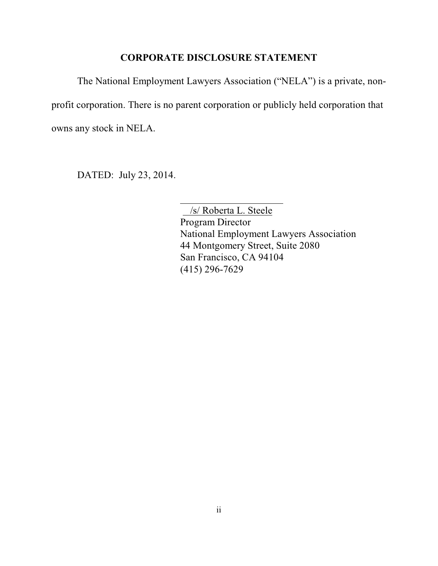#### **CORPORATE DISCLOSURE STATEMENT**

The National Employment Lawyers Association ("NELA") is a private, nonprofit corporation. There is no parent corporation or publicly held corporation that owns any stock in NELA.

DATED: July 23, 2014.

 /s/ Roberta L. Steele Program Director National Employment Lawyers Association 44 Montgomery Street, Suite 2080 San Francisco, CA 94104 (415) 296-7629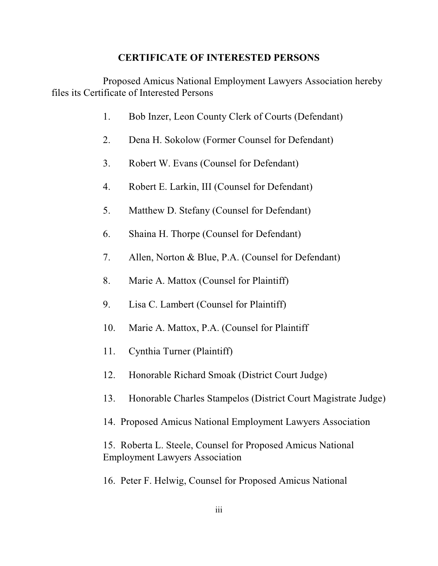#### **CERTIFICATE OF INTERESTED PERSONS**

Proposed Amicus National Employment Lawyers Association hereby files its Certificate of Interested Persons

- 1. Bob Inzer, Leon County Clerk of Courts (Defendant)
- 2. Dena H. Sokolow (Former Counsel for Defendant)
- 3. Robert W. Evans (Counsel for Defendant)
- 4. Robert E. Larkin, III (Counsel for Defendant)
- 5. Matthew D. Stefany (Counsel for Defendant)
- 6. Shaina H. Thorpe (Counsel for Defendant)
- 7. Allen, Norton & Blue, P.A. (Counsel for Defendant)
- 8. Marie A. Mattox (Counsel for Plaintiff)
- 9. Lisa C. Lambert (Counsel for Plaintiff)
- 10. Marie A. Mattox, P.A. (Counsel for Plaintiff
- 11. Cynthia Turner (Plaintiff)
- 12. Honorable Richard Smoak (District Court Judge)
- 13. Honorable Charles Stampelos (District Court Magistrate Judge)
- 14. Proposed Amicus National Employment Lawyers Association

15. Roberta L. Steele, Counsel for Proposed Amicus National Employment Lawyers Association

16. Peter F. Helwig, Counsel for Proposed Amicus National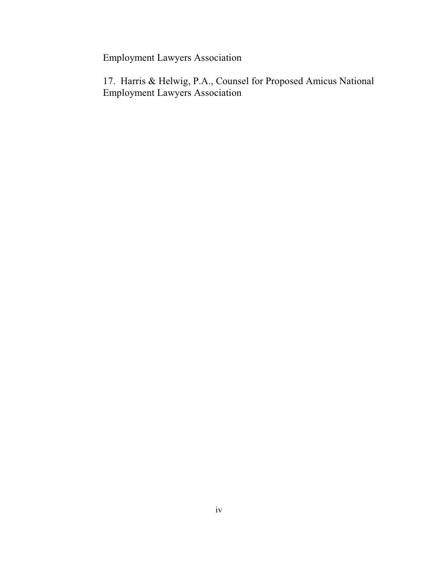Employment Lawyers Association

17. Harris & Helwig, P.A., Counsel for Proposed Amicus National Employment Lawyers Association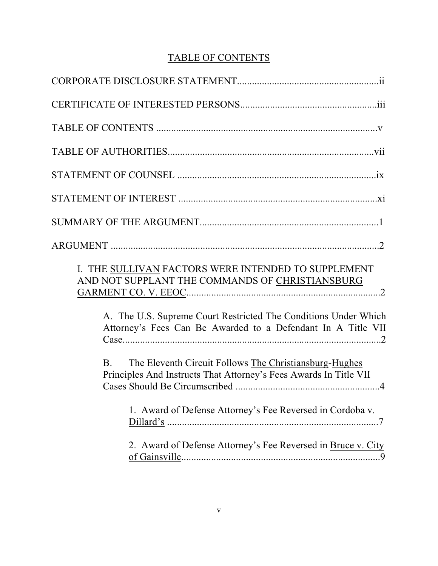# TABLE OF CONTENTS

| I. THE SULLIVAN FACTORS WERE INTENDED TO SUPPLEMENT<br>AND NOT SUPPLANT THE COMMANDS OF CHRISTIANSBURG<br>A. The U.S. Supreme Court Restricted The Conditions Under Which<br>Attorney's Fees Can Be Awarded to a Defendant In A Title VII |
|-------------------------------------------------------------------------------------------------------------------------------------------------------------------------------------------------------------------------------------------|
| The Eleventh Circuit Follows The Christiansburg-Hughes<br>B.<br>Principles And Instructs That Attorney's Fees Awards In Title VII                                                                                                         |
| 1. Award of Defense Attorney's Fee Reversed in Cordoba v.                                                                                                                                                                                 |
| 2. Award of Defense Attorney's Fee Reversed in Bruce v. City<br>$\overline{0}$                                                                                                                                                            |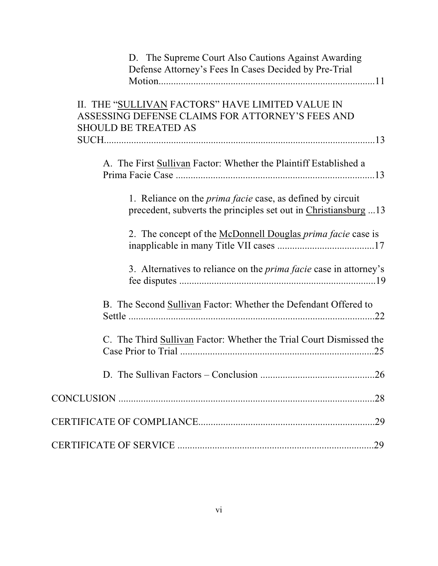| D. The Supreme Court Also Cautions Against Awarding<br>Defense Attorney's Fees In Cases Decided by Pre-Trial                         |
|--------------------------------------------------------------------------------------------------------------------------------------|
| II. THE "SULLIVAN FACTORS" HAVE LIMITED VALUE IN<br>ASSESSING DEFENSE CLAIMS FOR ATTORNEY'S FEES AND<br><b>SHOULD BE TREATED AS</b>  |
|                                                                                                                                      |
| A. The First Sullivan Factor: Whether the Plaintiff Established a                                                                    |
| 1. Reliance on the <i>prima facie</i> case, as defined by circuit<br>precedent, subverts the principles set out in Christiansburg 13 |
| 2. The concept of the McDonnell Douglas <i>prima facie</i> case is                                                                   |
| 3. Alternatives to reliance on the <i>prima facie</i> case in attorney's                                                             |
| B. The Second <b>Sullivan</b> Factor: Whether the Defendant Offered to                                                               |
| C. The Third Sullivan Factor: Whether the Trial Court Dismissed the                                                                  |
|                                                                                                                                      |
|                                                                                                                                      |
|                                                                                                                                      |
|                                                                                                                                      |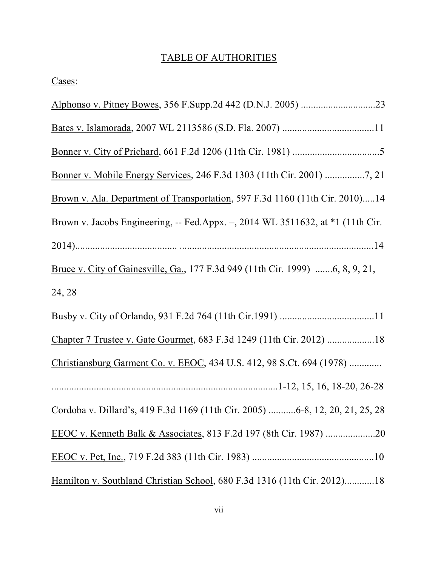# TABLE OF AUTHORITIES

|--|

| Bonner v. Mobile Energy Services, 246 F.3d 1303 (11th Cir. 2001) 7, 21         |
|--------------------------------------------------------------------------------|
| Brown v. Ala. Department of Transportation, 597 F.3d 1160 (11th Cir. 2010)14   |
| Brown v. Jacobs Engineering, -- Fed.Appx. -, 2014 WL 3511632, at *1 (11th Cir. |
|                                                                                |
| Bruce v. City of Gainesville, Ga., 177 F.3d 949 (11th Cir. 1999) 6, 8, 9, 21,  |
| 24, 28                                                                         |
|                                                                                |
| Chapter 7 Trustee v. Gate Gourmet, 683 F.3d 1249 (11th Cir. 2012) 18           |
| Christiansburg Garment Co. v. EEOC, 434 U.S. 412, 98 S.Ct. 694 (1978)          |
|                                                                                |
| Cordoba v. Dillard's, 419 F.3d 1169 (11th Cir. 2005) 6-8, 12, 20, 21, 25, 28   |
|                                                                                |
|                                                                                |
| Hamilton v. Southland Christian School, 680 F.3d 1316 (11th Cir. 2012)18       |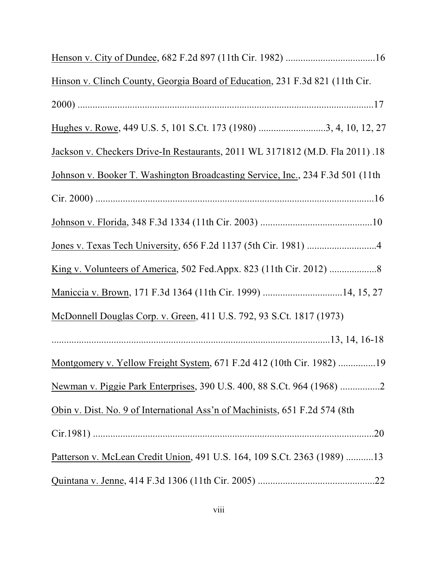| Hinson v. Clinch County, Georgia Board of Education, 231 F.3d 821 (11th Cir.   |
|--------------------------------------------------------------------------------|
|                                                                                |
| Hughes v. Rowe, 449 U.S. 5, 101 S.Ct. 173 (1980) 3, 4, 10, 12, 27              |
| Jackson v. Checkers Drive-In Restaurants, 2011 WL 3171812 (M.D. Fla 2011).18   |
| Johnson v. Booker T. Washington Broadcasting Service, Inc., 234 F.3d 501 (11th |
|                                                                                |
|                                                                                |
|                                                                                |
|                                                                                |
|                                                                                |
| McDonnell Douglas Corp. v. Green, 411 U.S. 792, 93 S.Ct. 1817 (1973)           |
|                                                                                |
| Montgomery v. Yellow Freight System, 671 F.2d 412 (10th Cir. 1982) 19          |
| Newman v. Piggie Park Enterprises, 390 U.S. 400, 88 S.Ct. 964 (1968) 2         |
| Obin v. Dist. No. 9 of International Ass'n of Machinists, 651 F.2d 574 (8th    |
|                                                                                |
| Patterson v. McLean Credit Union, 491 U.S. 164, 109 S.Ct. 2363 (1989) 13       |
|                                                                                |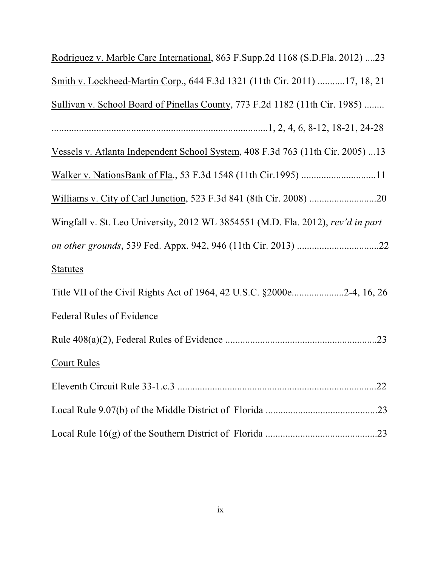| Rodriguez v. Marble Care International, 863 F.Supp.2d 1168 (S.D.Fla. 2012) 23   |
|---------------------------------------------------------------------------------|
| Smith v. Lockheed-Martin Corp., 644 F.3d 1321 (11th Cir. 2011) 17, 18, 21       |
| Sullivan v. School Board of Pinellas County, 773 F.2d 1182 (11th Cir. 1985)     |
|                                                                                 |
| Vessels v. Atlanta Independent School System, 408 F.3d 763 (11th Cir. 2005) 13  |
|                                                                                 |
|                                                                                 |
| Wingfall v. St. Leo University, 2012 WL 3854551 (M.D. Fla. 2012), rev'd in part |
|                                                                                 |
| <b>Statutes</b>                                                                 |
| Title VII of the Civil Rights Act of 1964, 42 U.S.C. §2000e2-4, 16, 26          |
| <b>Federal Rules of Evidence</b>                                                |
|                                                                                 |
| <b>Court Rules</b>                                                              |
|                                                                                 |
|                                                                                 |
|                                                                                 |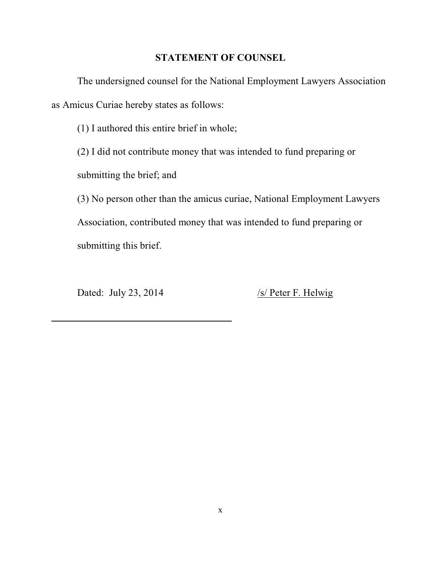#### **STATEMENT OF COUNSEL**

The undersigned counsel for the National Employment Lawyers Association as Amicus Curiae hereby states as follows:

(1) I authored this entire brief in whole;

(2) I did not contribute money that was intended to fund preparing or

submitting the brief; and

(3) No person other than the amicus curiae, National Employment Lawyers Association, contributed money that was intended to fund preparing or submitting this brief.

Dated: July 23, 2014 /s/ Peter F. Helwig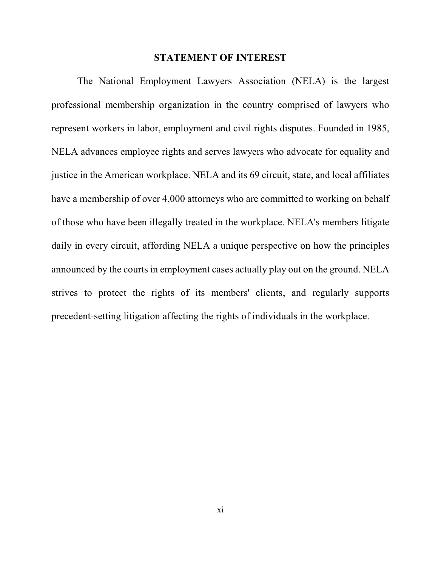#### **STATEMENT OF INTEREST**

The National Employment Lawyers Association (NELA) is the largest professional membership organization in the country comprised of lawyers who represent workers in labor, employment and civil rights disputes. Founded in 1985, NELA advances employee rights and serves lawyers who advocate for equality and justice in the American workplace. NELA and its 69 circuit, state, and local affiliates have a membership of over 4,000 attorneys who are committed to working on behalf of those who have been illegally treated in the workplace. NELA's members litigate daily in every circuit, affording NELA a unique perspective on how the principles announced by the courts in employment cases actually play out on the ground. NELA strives to protect the rights of its members' clients, and regularly supports precedent-setting litigation affecting the rights of individuals in the workplace.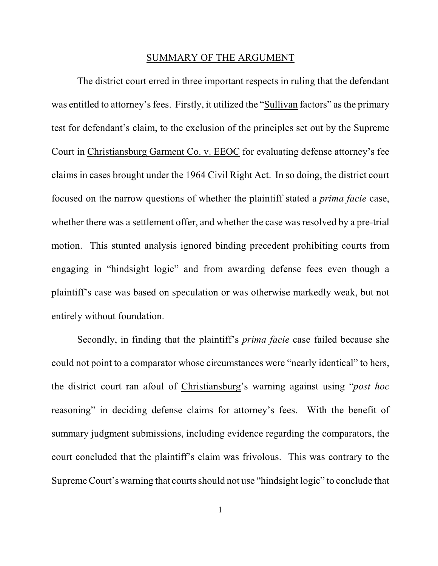#### SUMMARY OF THE ARGUMENT

The district court erred in three important respects in ruling that the defendant was entitled to attorney's fees. Firstly, it utilized the "Sullivan factors" as the primary test for defendant's claim, to the exclusion of the principles set out by the Supreme Court in Christiansburg Garment Co. v. EEOC for evaluating defense attorney's fee claims in cases brought under the 1964 Civil Right Act. In so doing, the district court focused on the narrow questions of whether the plaintiff stated a *prima facie* case, whether there was a settlement offer, and whether the case was resolved by a pre-trial motion. This stunted analysis ignored binding precedent prohibiting courts from engaging in "hindsight logic" and from awarding defense fees even though a plaintiff's case was based on speculation or was otherwise markedly weak, but not entirely without foundation.

Secondly, in finding that the plaintiff's *prima facie* case failed because she could not point to a comparator whose circumstances were "nearly identical" to hers, the district court ran afoul of Christiansburg's warning against using "*post hoc* reasoning" in deciding defense claims for attorney's fees. With the benefit of summary judgment submissions, including evidence regarding the comparators, the court concluded that the plaintiff's claim was frivolous. This was contrary to the Supreme Court's warning that courts should not use "hindsight logic" to conclude that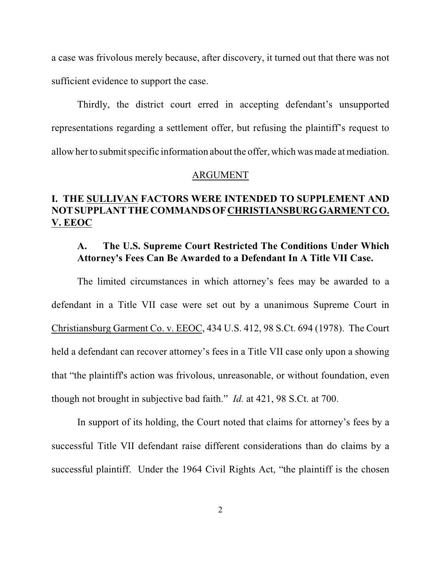a case was frivolous merely because, after discovery, it turned out that there was not sufficient evidence to support the case.

Thirdly, the district court erred in accepting defendant's unsupported representations regarding a settlement offer, but refusing the plaintiff's request to allowher to submit specific information about the offer, which was made at mediation.

#### ARGUMENT

# **I. THE SULLIVAN FACTORS WERE INTENDED TO SUPPLEMENT AND NOT SUPPLANT THE COMMANDS OF CHRISTIANSBURG GARMENT CO. V. EEOC**

### **A. The U.S. Supreme Court Restricted The Conditions Under Which Attorney's Fees Can Be Awarded to a Defendant In A Title VII Case.**

The limited circumstances in which attorney's fees may be awarded to a defendant in a Title VII case were set out by a unanimous Supreme Court in Christiansburg Garment Co. v. EEOC, 434 U.S. 412, 98 S.Ct. 694 (1978). The Court held a defendant can recover attorney's fees in a Title VII case only upon a showing that "the plaintiff's action was frivolous, unreasonable, or without foundation, even though not brought in subjective bad faith." *Id.* at 421, 98 S.Ct. at 700.

In support of its holding, the Court noted that claims for attorney's fees by a successful Title VII defendant raise different considerations than do claims by a successful plaintiff. Under the 1964 Civil Rights Act, "the plaintiff is the chosen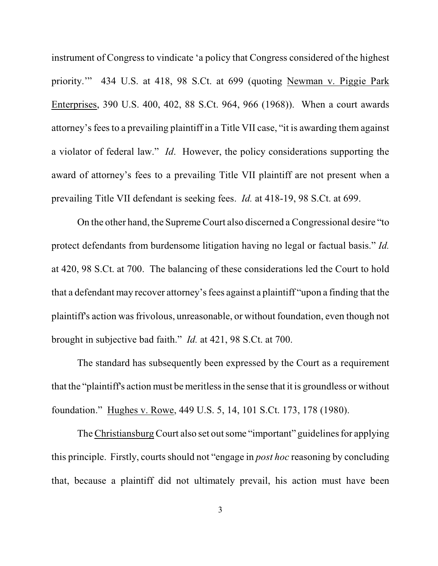instrument of Congress to vindicate 'a policy that Congress considered of the highest priority.'" 434 U.S. at 418, 98 S.Ct. at 699 (quoting Newman v. Piggie Park Enterprises, 390 U.S. 400, 402, 88 S.Ct. 964, 966 (1968)). When a court awards attorney's fees to a prevailing plaintiff in a Title VII case, "it is awarding them against a violator of federal law." *Id*. However, the policy considerations supporting the award of attorney's fees to a prevailing Title VII plaintiff are not present when a prevailing Title VII defendant is seeking fees. *Id.* at 418-19, 98 S.Ct. at 699.

On the other hand, the Supreme Court also discerned a Congressional desire "to protect defendants from burdensome litigation having no legal or factual basis." *Id.* at 420, 98 S.Ct. at 700. The balancing of these considerations led the Court to hold that a defendant may recover attorney's fees against a plaintiff "upon a finding that the plaintiff's action was frivolous, unreasonable, or without foundation, even though not brought in subjective bad faith." *Id.* at 421, 98 S.Ct. at 700.

The standard has subsequently been expressed by the Court as a requirement that the "plaintiff's action must be meritless in the sense that it is groundless or without foundation." Hughes v. Rowe, 449 U.S. 5, 14, 101 S.Ct. 173, 178 (1980).

The Christiansburg Court also set out some "important" guidelines for applying this principle. Firstly, courts should not "engage in *post hoc* reasoning by concluding that, because a plaintiff did not ultimately prevail, his action must have been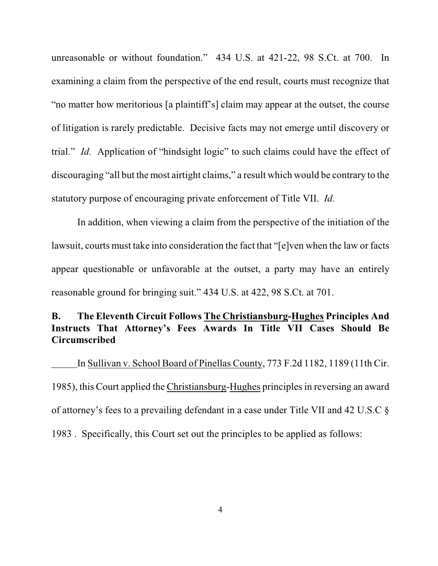unreasonable or without foundation." 434 U.S. at 421-22, 98 S.Ct. at 700. In examining a claim from the perspective of the end result, courts must recognize that "no matter how meritorious [a plaintiff's] claim may appear at the outset, the course of litigation is rarely predictable. Decisive facts may not emerge until discovery or trial." *Id.* Application of "hindsight logic" to such claims could have the effect of discouraging "all but the most airtight claims," a result which would be contrary to the statutory purpose of encouraging private enforcement of Title VII. *Id.* 

In addition, when viewing a claim from the perspective of the initiation of the lawsuit, courts must take into consideration the fact that "[e]ven when the law or facts appear questionable or unfavorable at the outset, a party may have an entirely reasonable ground for bringing suit." 434 U.S. at 422, 98 S.Ct. at 701.

## **B. The Eleventh Circuit Follows The Christiansburg-Hughes Principles And Instructs That Attorney's Fees Awards In Title VII Cases Should Be Circumscribed**

In Sullivan v. School Board of Pinellas County, 773 F.2d 1182, 1189 (11th Cir. 1985), this Court applied the Christiansburg-Hughes principles in reversing an award of attorney's fees to a prevailing defendant in a case under Title VII and 42 U.S.C § 1983 . Specifically, this Court set out the principles to be applied as follows: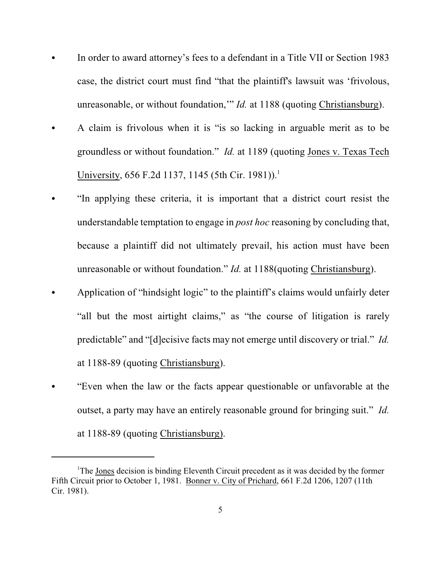- In order to award attorney's fees to a defendant in a Title VII or Section 1983 case, the district court must find "that the plaintiff's lawsuit was 'frivolous, unreasonable, or without foundation,'" *Id.* at 1188 (quoting Christiansburg).
- A claim is frivolous when it is "is so lacking in arguable merit as to be groundless or without foundation." *Id.* at 1189 (quoting Jones v. Texas Tech University,  $656$  F.2d 1137, 1145 (5th Cir. 1981)).<sup>1</sup>
- "In applying these criteria, it is important that a district court resist the understandable temptation to engage in *post hoc* reasoning by concluding that, because a plaintiff did not ultimately prevail, his action must have been unreasonable or without foundation." *Id.* at 1188(quoting Christiansburg).
- Application of "hindsight logic" to the plaintiff's claims would unfairly deter "all but the most airtight claims," as "the course of litigation is rarely predictable" and "[d]ecisive facts may not emerge until discovery or trial." *Id.* at 1188-89 (quoting Christiansburg).
- "Even when the law or the facts appear questionable or unfavorable at the outset, a party may have an entirely reasonable ground for bringing suit." *Id.* at 1188-89 (quoting Christiansburg).

<sup>&</sup>lt;sup>1</sup>The Jones decision is binding Eleventh Circuit precedent as it was decided by the former Fifth Circuit prior to October 1, 1981. Bonner v. City of Prichard, 661 F.2d 1206, 1207 (11th Cir. 1981).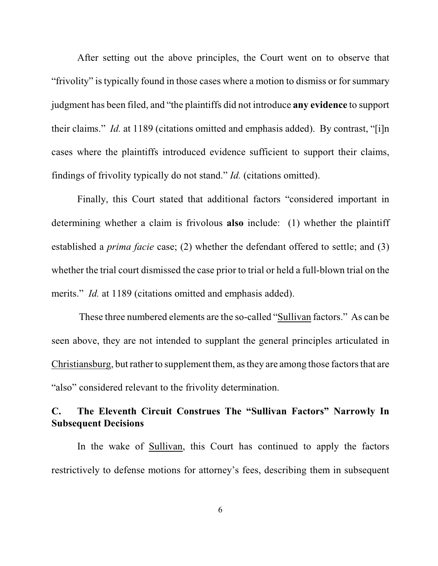After setting out the above principles, the Court went on to observe that "frivolity" is typically found in those cases where a motion to dismiss or for summary judgment has been filed, and "the plaintiffs did not introduce **any evidence** to support their claims." *Id.* at 1189 (citations omitted and emphasis added). By contrast, "[i]n cases where the plaintiffs introduced evidence sufficient to support their claims, findings of frivolity typically do not stand." *Id.* (citations omitted).

Finally, this Court stated that additional factors "considered important in determining whether a claim is frivolous **also** include: (1) whether the plaintiff established a *prima facie* case; (2) whether the defendant offered to settle; and (3) whether the trial court dismissed the case prior to trial or held a full-blown trial on the merits." *Id.* at 1189 (citations omitted and emphasis added).

 These three numbered elements are the so-called "Sullivan factors." As can be seen above, they are not intended to supplant the general principles articulated in Christiansburg, but rather to supplement them, as they are among those factors that are "also" considered relevant to the frivolity determination.

# **C. The Eleventh Circuit Construes The "Sullivan Factors" Narrowly In Subsequent Decisions**

In the wake of Sullivan, this Court has continued to apply the factors restrictively to defense motions for attorney's fees, describing them in subsequent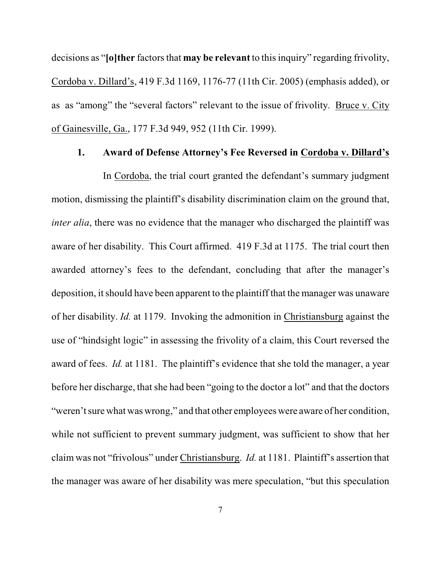decisions as "**[o]ther** factors that **may be relevant** to this inquiry" regarding frivolity, Cordoba v. Dillard's, 419 F.3d 1169, 1176-77 (11th Cir. 2005) (emphasis added), or as as "among" the "several factors" relevant to the issue of frivolity. Bruce v. City of Gainesville, Ga., 177 F.3d 949, 952 (11th Cir. 1999).

#### **1. Award of Defense Attorney's Fee Reversed in Cordoba v. Dillard's**

In Cordoba, the trial court granted the defendant's summary judgment motion, dismissing the plaintiff's disability discrimination claim on the ground that, *inter alia*, there was no evidence that the manager who discharged the plaintiff was aware of her disability. This Court affirmed. 419 F.3d at 1175. The trial court then awarded attorney's fees to the defendant, concluding that after the manager's deposition, it should have been apparent to the plaintiff that the manager was unaware of her disability. *Id.* at 1179. Invoking the admonition in Christiansburg against the use of "hindsight logic" in assessing the frivolity of a claim, this Court reversed the award of fees. *Id.* at 1181. The plaintiff's evidence that she told the manager, a year before her discharge, that she had been "going to the doctor a lot" and that the doctors "weren't sure what was wrong," and that other employees were aware of her condition, while not sufficient to prevent summary judgment, was sufficient to show that her claim was not "frivolous" under Christiansburg. *Id.* at 1181. Plaintiff's assertion that the manager was aware of her disability was mere speculation, "but this speculation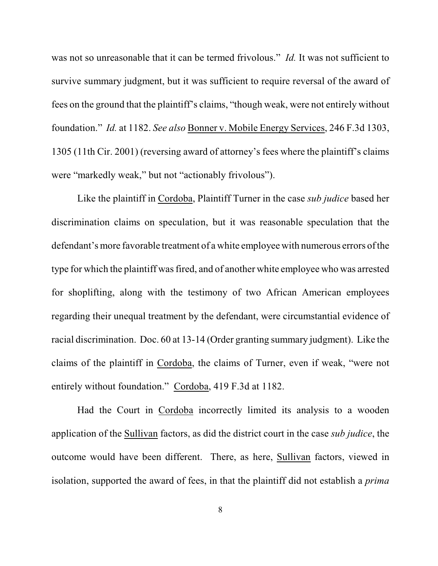was not so unreasonable that it can be termed frivolous." *Id.* It was not sufficient to survive summary judgment, but it was sufficient to require reversal of the award of fees on the ground that the plaintiff's claims, "though weak, were not entirely without foundation." *Id.* at 1182. *See also* Bonner v. Mobile Energy Services, 246 F.3d 1303, 1305 (11th Cir. 2001) (reversing award of attorney's fees where the plaintiff's claims were "markedly weak," but not "actionably frivolous").

Like the plaintiff in Cordoba, Plaintiff Turner in the case *sub judice* based her discrimination claims on speculation, but it was reasonable speculation that the defendant's more favorable treatment of a white employee with numerous errors of the type for which the plaintiff was fired, and of another white employee who was arrested for shoplifting, along with the testimony of two African American employees regarding their unequal treatment by the defendant, were circumstantial evidence of racial discrimination. Doc. 60 at 13-14 (Order granting summary judgment). Like the claims of the plaintiff in Cordoba, the claims of Turner, even if weak, "were not entirely without foundation." Cordoba, 419 F.3d at 1182.

Had the Court in Cordoba incorrectly limited its analysis to a wooden application of the Sullivan factors, as did the district court in the case *sub judice*, the outcome would have been different. There, as here, Sullivan factors, viewed in isolation, supported the award of fees, in that the plaintiff did not establish a *prima*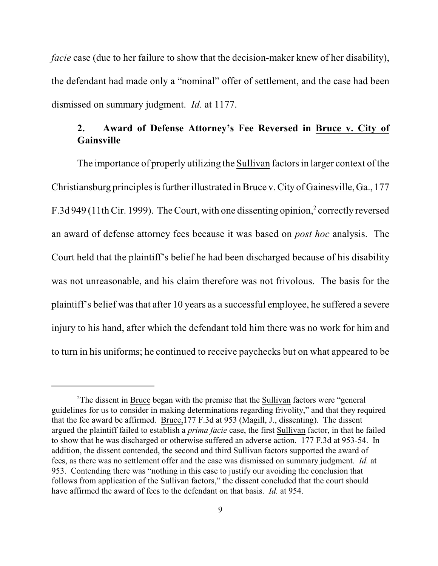*facie* case (due to her failure to show that the decision-maker knew of her disability), the defendant had made only a "nominal" offer of settlement, and the case had been dismissed on summary judgment. *Id.* at 1177.

# **2. Award of Defense Attorney's Fee Reversed in Bruce v. City of Gainsville**

The importance of properly utilizing the Sullivan factors in larger context of the Christiansburg principles is further illustrated in Bruce v.City of Gainesville, Ga., 177 F.3d 949 (11th Cir. 1999). The Court, with one dissenting opinion,<sup>2</sup> correctly reversed an award of defense attorney fees because it was based on *post hoc* analysis. The Court held that the plaintiff's belief he had been discharged because of his disability was not unreasonable, and his claim therefore was not frivolous. The basis for the plaintiff's belief was that after 10 years as a successful employee, he suffered a severe injury to his hand, after which the defendant told him there was no work for him and to turn in his uniforms; he continued to receive paychecks but on what appeared to be

<sup>&</sup>lt;sup>2</sup>The dissent in Bruce began with the premise that the Sullivan factors were "general" guidelines for us to consider in making determinations regarding frivolity," and that they required that the fee award be affirmed. Bruce,177 F.3d at 953 (Magill, J., dissenting). The dissent argued the plaintiff failed to establish a *prima facie* case, the first Sullivan factor, in that he failed to show that he was discharged or otherwise suffered an adverse action. 177 F.3d at 953-54. In addition, the dissent contended, the second and third Sullivan factors supported the award of fees, as there was no settlement offer and the case was dismissed on summary judgment. *Id.* at 953. Contending there was "nothing in this case to justify our avoiding the conclusion that follows from application of the Sullivan factors," the dissent concluded that the court should have affirmed the award of fees to the defendant on that basis. *Id.* at 954.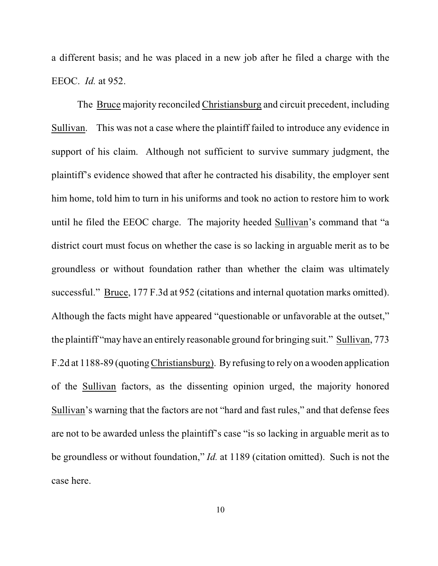a different basis; and he was placed in a new job after he filed a charge with the EEOC. *Id.* at 952.

The Bruce majority reconciled Christiansburg and circuit precedent, including Sullivan. This was not a case where the plaintiff failed to introduce any evidence in support of his claim. Although not sufficient to survive summary judgment, the plaintiff's evidence showed that after he contracted his disability, the employer sent him home, told him to turn in his uniforms and took no action to restore him to work until he filed the EEOC charge. The majority heeded Sullivan's command that "a district court must focus on whether the case is so lacking in arguable merit as to be groundless or without foundation rather than whether the claim was ultimately successful." Bruce, 177 F.3d at 952 (citations and internal quotation marks omitted). Although the facts might have appeared "questionable or unfavorable at the outset," the plaintiff "may have an entirely reasonable ground for bringing suit." Sullivan, 773 F.2d at 1188-89 (quoting Christiansburg). By refusing to rely on a wooden application of the Sullivan factors, as the dissenting opinion urged, the majority honored Sullivan's warning that the factors are not "hard and fast rules," and that defense fees are not to be awarded unless the plaintiff's case "is so lacking in arguable merit as to be groundless or without foundation," *Id.* at 1189 (citation omitted). Such is not the case here.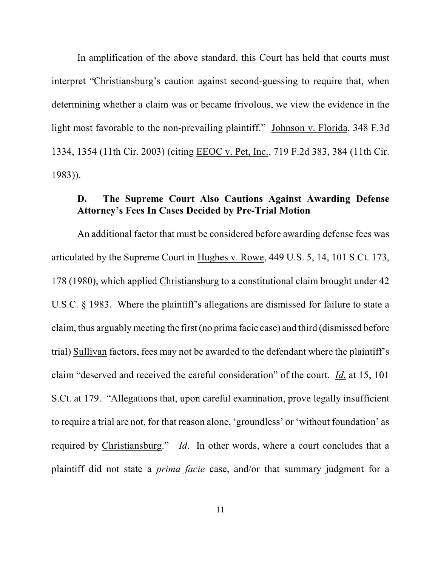In amplification of the above standard, this Court has held that courts must interpret "Christiansburg's caution against second-guessing to require that, when determining whether a claim was or became frivolous, we view the evidence in the light most favorable to the non-prevailing plaintiff." Johnson v. Florida, 348 F.3d 1334, 1354 (11th Cir. 2003) (citing EEOC v. Pet, Inc., 719 F.2d 383, 384 (11th Cir. 1983)).

### **D. The Supreme Court Also Cautions Against Awarding Defense Attorney's Fees In Cases Decided by Pre-Trial Motion**

An additional factor that must be considered before awarding defense fees was articulated by the Supreme Court in Hughes v. Rowe, 449 U.S. 5, 14, 101 S.Ct. 173, 178 (1980), which applied Christiansburg to a constitutional claim brought under 42 U.S.C. § 1983. Where the plaintiff's allegations are dismissed for failure to state a claim, thus arguably meeting the first (no prima facie case) and third (dismissed before trial) Sullivan factors, fees may not be awarded to the defendant where the plaintiff's claim "deserved and received the careful consideration" of the court. *Id.* at 15, 101 S.Ct. at 179. "Allegations that, upon careful examination, prove legally insufficient to require a trial are not, for that reason alone, 'groundless' or 'without foundation' as required by Christiansburg." *Id*. In other words, where a court concludes that a plaintiff did not state a *prima facie* case, and/or that summary judgment for a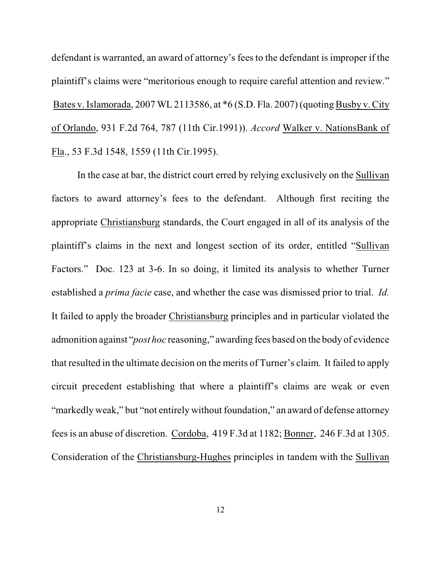defendant is warranted, an award of attorney's fees to the defendant is improper if the plaintiff's claims were "meritorious enough to require careful attention and review." Bates v. Islamorada, 2007 WL 2113586, at \*6 (S.D. Fla. 2007) (quoting Busby v. City of Orlando, 931 F.2d 764, 787 (11th Cir.1991)). *Accord* Walker v. NationsBank of Fla., 53 F.3d 1548, 1559 (11th Cir.1995).

In the case at bar, the district court erred by relying exclusively on the Sullivan factors to award attorney's fees to the defendant. Although first reciting the appropriate Christiansburg standards, the Court engaged in all of its analysis of the plaintiff's claims in the next and longest section of its order, entitled "Sullivan Factors." Doc. 123 at 3-6. In so doing, it limited its analysis to whether Turner established a *prima facie* case, and whether the case was dismissed prior to trial. *Id.* It failed to apply the broader Christiansburg principles and in particular violated the admonition against "*post hoc* reasoning," awarding fees based on the body of evidence that resulted in the ultimate decision on the merits of Turner's claim. It failed to apply circuit precedent establishing that where a plaintiff's claims are weak or even "markedly weak," but "not entirely without foundation," an award of defense attorney fees is an abuse of discretion. Cordoba, 419 F.3d at 1182; Bonner, 246 F.3d at 1305. Consideration of the Christiansburg-Hughes principles in tandem with the Sullivan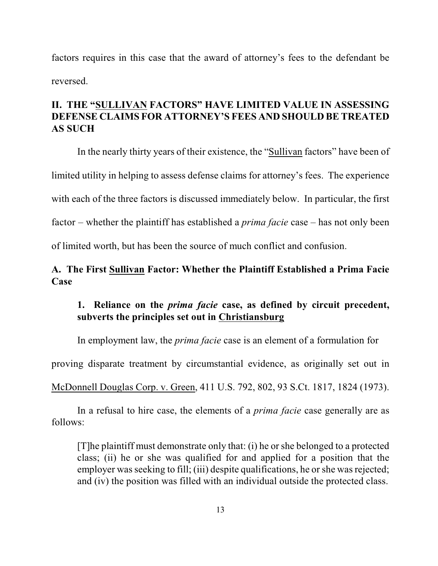factors requires in this case that the award of attorney's fees to the defendant be reversed.

# **II. THE "SULLIVAN FACTORS" HAVE LIMITED VALUE IN ASSESSING DEFENSE CLAIMS FOR ATTORNEY'S FEES AND SHOULD BE TREATED AS SUCH**

In the nearly thirty years of their existence, the "Sullivan factors" have been of limited utility in helping to assess defense claims for attorney's fees. The experience with each of the three factors is discussed immediately below. In particular, the first factor – whether the plaintiff has established a *prima facie* case – has not only been of limited worth, but has been the source of much conflict and confusion.

# **A. The First Sullivan Factor: Whether the Plaintiff Established a Prima Facie Case**

# **1. Reliance on the** *prima facie* **case, as defined by circuit precedent, subverts the principles set out in Christiansburg**

In employment law, the *prima facie* case is an element of a formulation for

proving disparate treatment by circumstantial evidence, as originally set out in

McDonnell Douglas Corp. v. Green, 411 U.S. 792, 802, 93 S.Ct. 1817, 1824 (1973).

In a refusal to hire case, the elements of a *prima facie* case generally are as follows:

[T]he plaintiff must demonstrate only that: (i) he or she belonged to a protected class; (ii) he or she was qualified for and applied for a position that the employer was seeking to fill; (iii) despite qualifications, he or she was rejected; and (iv) the position was filled with an individual outside the protected class.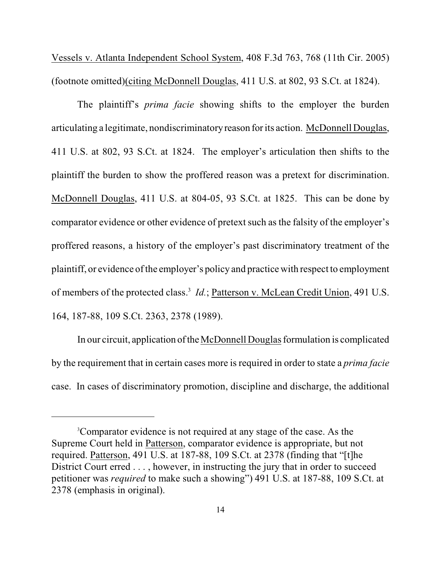Vessels v. Atlanta Independent School System, 408 F.3d 763, 768 (11th Cir. 2005) (footnote omitted)(citing McDonnell Douglas, 411 U.S. at 802, 93 S.Ct. at 1824).

The plaintiff's *prima facie* showing shifts to the employer the burden articulating a legitimate, nondiscriminatory reason for its action. McDonnell Douglas, 411 U.S. at 802, 93 S.Ct. at 1824. The employer's articulation then shifts to the plaintiff the burden to show the proffered reason was a pretext for discrimination. McDonnell Douglas, 411 U.S. at 804-05, 93 S.Ct. at 1825. This can be done by comparator evidence or other evidence of pretext such as the falsity of the employer's proffered reasons, a history of the employer's past discriminatory treatment of the plaintiff, or evidence of the employer's policy and practice with respect to employment of members of the protected class.<sup>3</sup> *Id.*; Patterson v. McLean Credit Union, 491 U.S. 164, 187-88, 109 S.Ct. 2363, 2378 (1989).

In our circuit, application of the McDonnell Douglas formulation is complicated by the requirement that in certain cases more is required in order to state a *prima facie* case. In cases of discriminatory promotion, discipline and discharge, the additional

<sup>&</sup>lt;sup>3</sup>Comparator evidence is not required at any stage of the case. As the Supreme Court held in Patterson, comparator evidence is appropriate, but not required. Patterson, 491 U.S. at 187-88, 109 S.Ct. at 2378 (finding that "[t]he District Court erred . . . , however, in instructing the jury that in order to succeed petitioner was *required* to make such a showing") 491 U.S. at 187-88, 109 S.Ct. at 2378 (emphasis in original).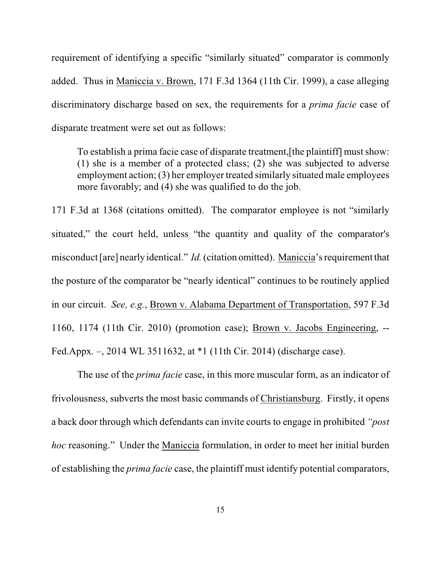requirement of identifying a specific "similarly situated" comparator is commonly added. Thus in Maniccia v. Brown, 171 F.3d 1364 (11th Cir. 1999), a case alleging discriminatory discharge based on sex, the requirements for a *prima facie* case of disparate treatment were set out as follows:

To establish a prima facie case of disparate treatment,[the plaintiff] must show: (1) she is a member of a protected class; (2) she was subjected to adverse employment action; (3) her employer treated similarly situated male employees more favorably; and (4) she was qualified to do the job.

171 F.3d at 1368 (citations omitted). The comparator employee is not "similarly situated," the court held, unless "the quantity and quality of the comparator's misconduct [are] nearly identical." *Id.* (citation omitted). Maniccia's requirement that the posture of the comparator be "nearly identical" continues to be routinely applied in our circuit. *See, e.g.*, Brown v. Alabama Department of Transportation, 597 F.3d 1160, 1174 (11th Cir. 2010) (promotion case); Brown v. Jacobs Engineering, -- Fed.Appx. –, 2014 WL 3511632, at \*1 (11th Cir. 2014) (discharge case).

The use of the *prima facie* case, in this more muscular form, as an indicator of frivolousness, subverts the most basic commands of Christiansburg. Firstly, it opens a back door through which defendants can invite courts to engage in prohibited *"post hoc* reasoning." Under the Maniccia formulation, in order to meet her initial burden of establishing the *prima facie* case, the plaintiff must identify potential comparators,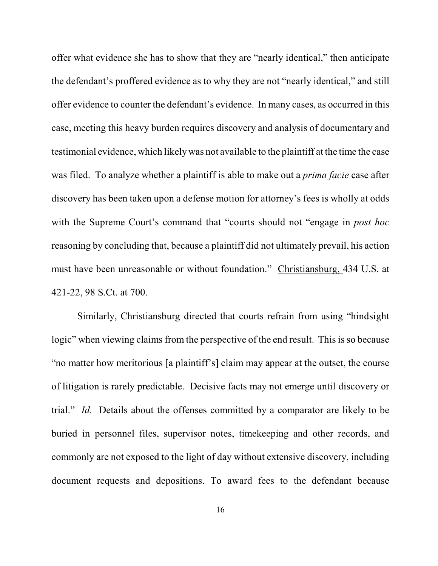offer what evidence she has to show that they are "nearly identical," then anticipate the defendant's proffered evidence as to why they are not "nearly identical," and still offer evidence to counter the defendant's evidence. In many cases, as occurred in this case, meeting this heavy burden requires discovery and analysis of documentary and testimonial evidence, which likely was not available to the plaintiff at the time the case was filed. To analyze whether a plaintiff is able to make out a *prima facie* case after discovery has been taken upon a defense motion for attorney's fees is wholly at odds with the Supreme Court's command that "courts should not "engage in *post hoc* reasoning by concluding that, because a plaintiff did not ultimately prevail, his action must have been unreasonable or without foundation." Christiansburg, 434 U.S. at 421-22, 98 S.Ct. at 700.

Similarly, Christiansburg directed that courts refrain from using "hindsight logic" when viewing claims from the perspective of the end result. This is so because "no matter how meritorious [a plaintiff's] claim may appear at the outset, the course of litigation is rarely predictable. Decisive facts may not emerge until discovery or trial." *Id.* Details about the offenses committed by a comparator are likely to be buried in personnel files, supervisor notes, timekeeping and other records, and commonly are not exposed to the light of day without extensive discovery, including document requests and depositions. To award fees to the defendant because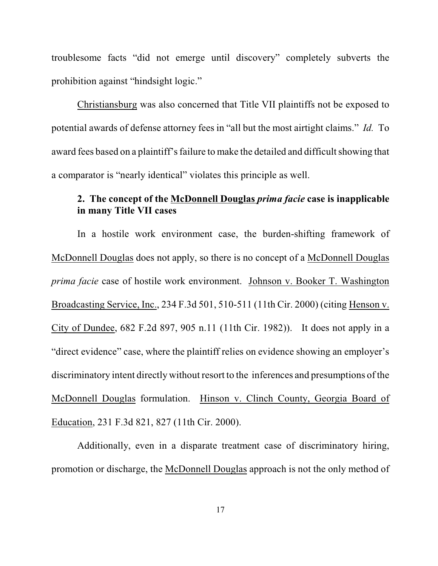troublesome facts "did not emerge until discovery" completely subverts the prohibition against "hindsight logic."

Christiansburg was also concerned that Title VII plaintiffs not be exposed to potential awards of defense attorney fees in "all but the most airtight claims." *Id.* To award fees based on a plaintiff's failure to make the detailed and difficult showing that a comparator is "nearly identical" violates this principle as well.

### **2. The concept of the McDonnell Douglas** *prima facie* **case is inapplicable in many Title VII cases**

In a hostile work environment case, the burden-shifting framework of McDonnell Douglas does not apply, so there is no concept of a McDonnell Douglas *prima facie* case of hostile work environment. Johnson v. Booker T. Washington Broadcasting Service, Inc., 234 F.3d 501, 510-511 (11th Cir. 2000) (citing Henson v. City of Dundee, 682 F.2d 897, 905 n.11 (11th Cir. 1982)). It does not apply in a "direct evidence" case, where the plaintiff relies on evidence showing an employer's discriminatory intent directly without resort to the inferences and presumptions of the McDonnell Douglas formulation. Hinson v. Clinch County, Georgia Board of Education, 231 F.3d 821, 827 (11th Cir. 2000).

Additionally, even in a disparate treatment case of discriminatory hiring, promotion or discharge, the McDonnell Douglas approach is not the only method of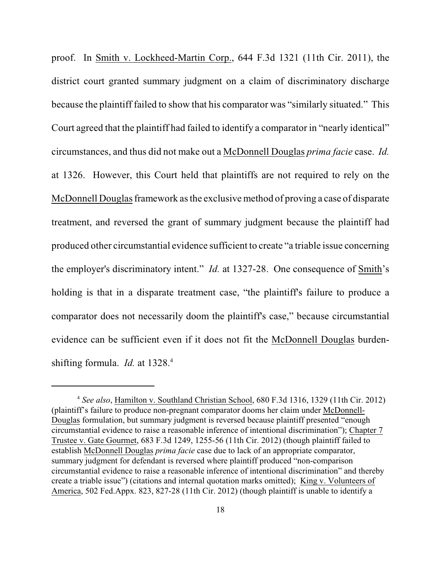proof. In Smith v. Lockheed-Martin Corp., 644 F.3d 1321 (11th Cir. 2011), the district court granted summary judgment on a claim of discriminatory discharge because the plaintiff failed to show that his comparator was "similarly situated." This Court agreed that the plaintiff had failed to identify a comparator in "nearly identical" circumstances, and thus did not make out a McDonnell Douglas *prima facie* case. *Id.* at 1326. However, this Court held that plaintiffs are not required to rely on the McDonnell Douglas framework as the exclusive method of proving a case of disparate treatment, and reversed the grant of summary judgment because the plaintiff had produced other circumstantial evidence sufficient to create "a triable issue concerning the employer's discriminatory intent." *Id.* at 1327-28. One consequence of Smith's holding is that in a disparate treatment case, "the plaintiff's failure to produce a comparator does not necessarily doom the plaintiff's case," because circumstantial evidence can be sufficient even if it does not fit the McDonnell Douglas burdenshifting formula. *Id.* at 1328.<sup>4</sup>

*See also*, Hamilton v. Southland Christian School, 680 F.3d 1316, 1329 (11th Cir. 2012) <sup>4</sup> (plaintiff's failure to produce non-pregnant comparator dooms her claim under McDonnell-Douglas formulation, but summary judgment is reversed because plaintiff presented "enough circumstantial evidence to raise a reasonable inference of intentional discrimination"); Chapter 7 Trustee v. Gate Gourmet, 683 F.3d 1249, 1255-56 (11th Cir. 2012) (though plaintiff failed to establish McDonnell Douglas *prima facie* case due to lack of an appropriate comparator, summary judgment for defendant is reversed where plaintiff produced "non-comparison circumstantial evidence to raise a reasonable inference of intentional discrimination" and thereby create a triable issue") (citations and internal quotation marks omitted); King v. Volunteers of America, 502 Fed.Appx. 823, 827-28 (11th Cir. 2012) (though plaintiff is unable to identify a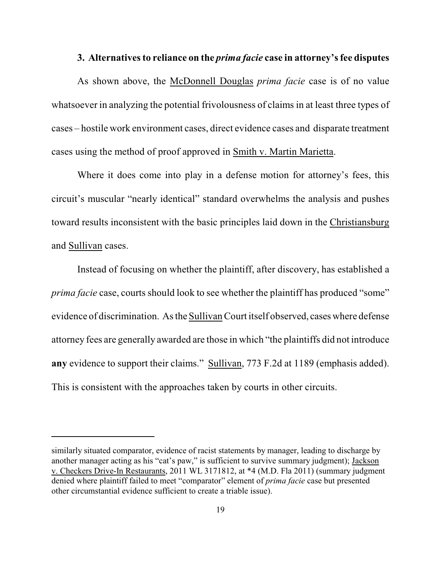#### **3. Alternatives to reliance on the** *prima facie* **case in attorney's fee disputes**

As shown above, the McDonnell Douglas *prima facie* case is of no value whatsoever in analyzing the potential frivolousness of claims in at least three types of cases – hostile work environment cases, direct evidence cases and disparate treatment cases using the method of proof approved in Smith v. Martin Marietta.

Where it does come into play in a defense motion for attorney's fees, this circuit's muscular "nearly identical" standard overwhelms the analysis and pushes toward results inconsistent with the basic principles laid down in the Christiansburg and Sullivan cases.

Instead of focusing on whether the plaintiff, after discovery, has established a *prima facie* case, courts should look to see whether the plaintiff has produced "some" evidence of discrimination. As the Sullivan Court itself observed, cases where defense attorney fees are generally awarded are those in which "the plaintiffs did not introduce **any** evidence to support their claims." Sullivan, 773 F.2d at 1189 (emphasis added). This is consistent with the approaches taken by courts in other circuits.

similarly situated comparator, evidence of racist statements by manager, leading to discharge by another manager acting as his "cat's paw," is sufficient to survive summary judgment); Jackson v. Checkers Drive-In Restaurants, 2011 WL 3171812, at \*4 (M.D. Fla 2011) (summary judgment denied where plaintiff failed to meet "comparator" element of *prima facie* case but presented other circumstantial evidence sufficient to create a triable issue).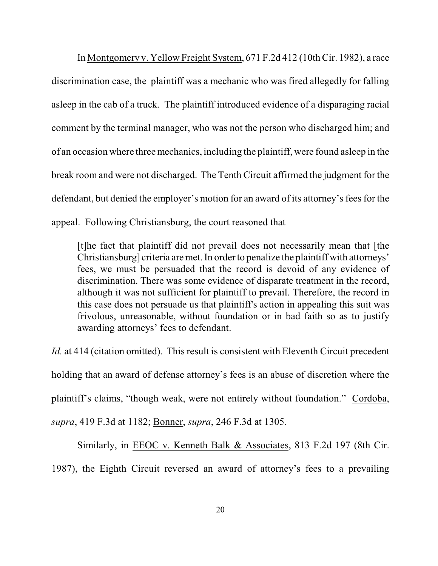In Montgomery v. Yellow Freight System, 671 F.2d 412 (10th Cir. 1982), a race discrimination case, the plaintiff was a mechanic who was fired allegedly for falling asleep in the cab of a truck. The plaintiff introduced evidence of a disparaging racial comment by the terminal manager, who was not the person who discharged him; and of an occasion where threemechanics, including the plaintiff, were found asleep in the break room and were not discharged. The Tenth Circuit affirmed the judgment for the defendant, but denied the employer's motion for an award of its attorney's fees for the appeal. Following Christiansburg, the court reasoned that

[t]he fact that plaintiff did not prevail does not necessarily mean that [the Christiansburg] criteria are met. In order to penalize the plaintiff with attorneys' fees, we must be persuaded that the record is devoid of any evidence of discrimination. There was some evidence of disparate treatment in the record, although it was not sufficient for plaintiff to prevail. Therefore, the record in this case does not persuade us that plaintiff's action in appealing this suit was frivolous, unreasonable, without foundation or in bad faith so as to justify awarding attorneys' fees to defendant.

*Id.* at 414 (citation omitted). This result is consistent with Eleventh Circuit precedent holding that an award of defense attorney's fees is an abuse of discretion where the plaintiff's claims, "though weak, were not entirely without foundation." Cordoba, *supra*, 419 F.3d at 1182; Bonner, *supra*, 246 F.3d at 1305.

Similarly, in EEOC v. Kenneth Balk & Associates, 813 F.2d 197 (8th Cir. 1987), the Eighth Circuit reversed an award of attorney's fees to a prevailing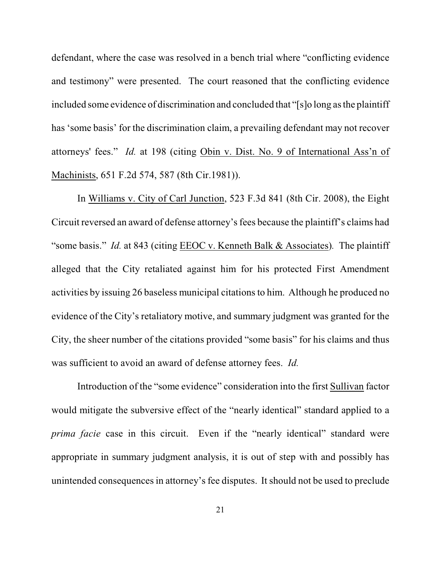defendant, where the case was resolved in a bench trial where "conflicting evidence and testimony" were presented. The court reasoned that the conflicting evidence included some evidence of discrimination and concluded that "[s]o long as the plaintiff has 'some basis' for the discrimination claim, a prevailing defendant may not recover attorneys' fees." *Id.* at 198 (citing Obin v. Dist. No. 9 of International Ass'n of Machinists, 651 F.2d 574, 587 (8th Cir.1981)).

In Williams v. City of Carl Junction, 523 F.3d 841 (8th Cir. 2008), the Eight Circuit reversed an award of defense attorney's fees because the plaintiff's claims had "some basis." *Id.* at 843 (citing EEOC v. Kenneth Balk & Associates)*.* The plaintiff alleged that the City retaliated against him for his protected First Amendment activities by issuing 26 baseless municipal citations to him. Although he produced no evidence of the City's retaliatory motive, and summary judgment was granted for the City, the sheer number of the citations provided "some basis" for his claims and thus was sufficient to avoid an award of defense attorney fees. *Id.*

Introduction of the "some evidence" consideration into the first Sullivan factor would mitigate the subversive effect of the "nearly identical" standard applied to a *prima facie* case in this circuit. Even if the "nearly identical" standard were appropriate in summary judgment analysis, it is out of step with and possibly has unintended consequencesin attorney's fee disputes. It should not be used to preclude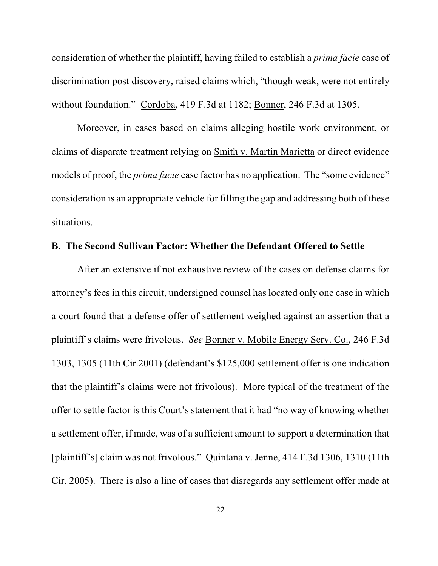consideration of whether the plaintiff, having failed to establish a *prima facie* case of discrimination post discovery, raised claims which, "though weak, were not entirely without foundation." Cordoba, 419 F.3d at 1182; Bonner, 246 F.3d at 1305.

Moreover, in cases based on claims alleging hostile work environment, or claims of disparate treatment relying on Smith v. Martin Marietta or direct evidence models of proof, the *prima facie* case factor has no application. The "some evidence" consideration is an appropriate vehicle for filling the gap and addressing both of these situations.

### **B. The Second Sullivan Factor: Whether the Defendant Offered to Settle**

After an extensive if not exhaustive review of the cases on defense claims for attorney's fees in this circuit, undersigned counsel has located only one case in which a court found that a defense offer of settlement weighed against an assertion that a plaintiff's claims were frivolous. *See* Bonner v. Mobile Energy Serv. Co., 246 F.3d 1303, 1305 (11th Cir.2001) (defendant's \$125,000 settlement offer is one indication that the plaintiff's claims were not frivolous). More typical of the treatment of the offer to settle factor is this Court's statement that it had "no way of knowing whether a settlement offer, if made, was of a sufficient amount to support a determination that [plaintiff's] claim was not frivolous." Quintana v. Jenne, 414 F.3d 1306, 1310 (11th Cir. 2005). There is also a line of cases that disregards any settlement offer made at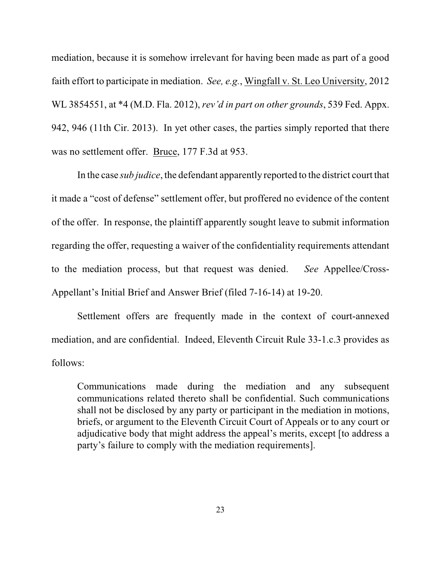mediation, because it is somehow irrelevant for having been made as part of a good faith effort to participate in mediation. *See, e.g.*, Wingfall v. St. Leo University, 2012 WL 3854551, at \*4 (M.D. Fla. 2012), *rev'd in part on other grounds*, 539 Fed. Appx. 942, 946 (11th Cir. 2013). In yet other cases, the parties simply reported that there was no settlement offer. Bruce, 177 F.3d at 953.

In the case *sub judice*, the defendant apparently reported to the district court that it made a "cost of defense" settlement offer, but proffered no evidence of the content of the offer. In response, the plaintiff apparently sought leave to submit information regarding the offer, requesting a waiver of the confidentiality requirements attendant to the mediation process, but that request was denied. *See* Appellee/Cross-Appellant's Initial Brief and Answer Brief (filed 7-16-14) at 19-20.

Settlement offers are frequently made in the context of court-annexed mediation, and are confidential. Indeed, Eleventh Circuit Rule 33-1.c.3 provides as follows:

Communications made during the mediation and any subsequent communications related thereto shall be confidential. Such communications shall not be disclosed by any party or participant in the mediation in motions, briefs, or argument to the Eleventh Circuit Court of Appeals or to any court or adjudicative body that might address the appeal's merits, except [to address a party's failure to comply with the mediation requirements].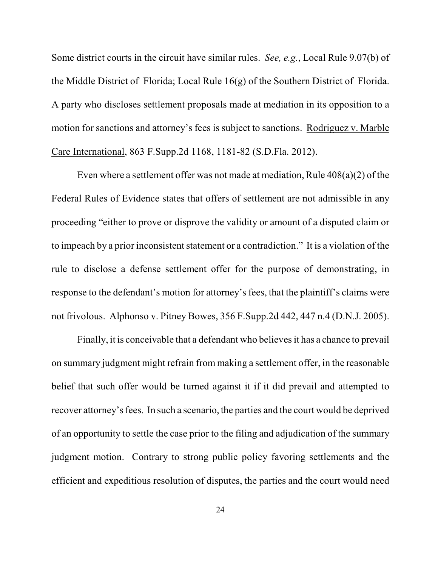Some district courts in the circuit have similar rules. *See, e.g.*, Local Rule 9.07(b) of the Middle District of Florida; Local Rule 16(g) of the Southern District of Florida. A party who discloses settlement proposals made at mediation in its opposition to a motion for sanctions and attorney's fees is subject to sanctions. Rodriguez v. Marble Care International, 863 F.Supp.2d 1168, 1181-82 (S.D.Fla. 2012).

Even where a settlement offer was not made at mediation, Rule 408(a)(2) of the Federal Rules of Evidence states that offers of settlement are not admissible in any proceeding "either to prove or disprove the validity or amount of a disputed claim or to impeach by a prior inconsistent statement or a contradiction." It is a violation of the rule to disclose a defense settlement offer for the purpose of demonstrating, in response to the defendant's motion for attorney's fees, that the plaintiff's claims were not frivolous. Alphonso v. Pitney Bowes, 356 F.Supp.2d 442, 447 n.4 (D.N.J. 2005).

Finally, it is conceivable that a defendant who believes it has a chance to prevail on summary judgment might refrain from making a settlement offer, in the reasonable belief that such offer would be turned against it if it did prevail and attempted to recover attorney's fees. In such a scenario, the parties and the court would be deprived of an opportunity to settle the case prior to the filing and adjudication of the summary judgment motion. Contrary to strong public policy favoring settlements and the efficient and expeditious resolution of disputes, the parties and the court would need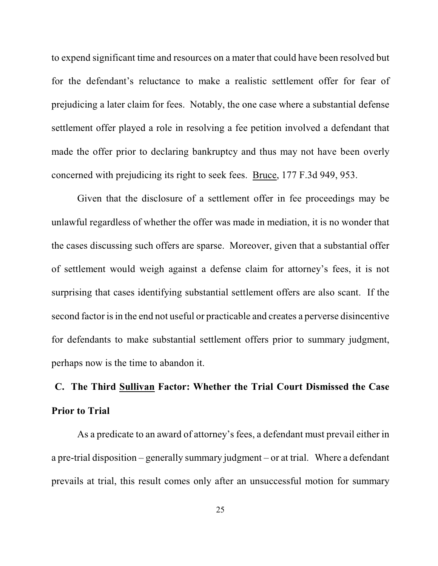to expend significant time and resources on a mater that could have been resolved but for the defendant's reluctance to make a realistic settlement offer for fear of prejudicing a later claim for fees. Notably, the one case where a substantial defense settlement offer played a role in resolving a fee petition involved a defendant that made the offer prior to declaring bankruptcy and thus may not have been overly concerned with prejudicing its right to seek fees. Bruce, 177 F.3d 949, 953.

Given that the disclosure of a settlement offer in fee proceedings may be unlawful regardless of whether the offer was made in mediation, it is no wonder that the cases discussing such offers are sparse. Moreover, given that a substantial offer of settlement would weigh against a defense claim for attorney's fees, it is not surprising that cases identifying substantial settlement offers are also scant. If the second factor is in the end not useful or practicable and creates a perverse disincentive for defendants to make substantial settlement offers prior to summary judgment, perhaps now is the time to abandon it.

# **C. The Third Sullivan Factor: Whether the Trial Court Dismissed the Case Prior to Trial**

As a predicate to an award of attorney's fees, a defendant must prevail either in a pre-trial disposition – generally summary judgment – or at trial. Where a defendant prevails at trial, this result comes only after an unsuccessful motion for summary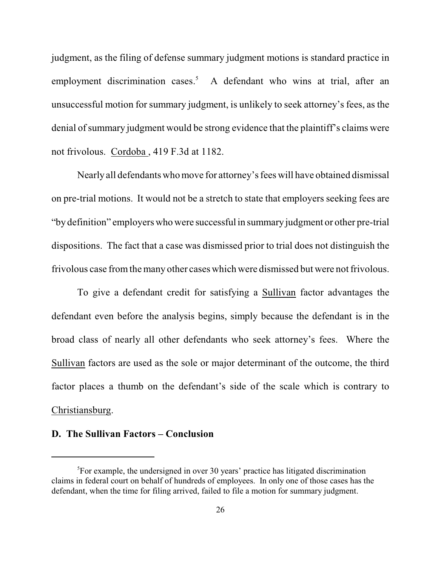judgment, as the filing of defense summary judgment motions is standard practice in employment discrimination cases.<sup>5</sup> A defendant who wins at trial, after an unsuccessful motion for summary judgment, is unlikely to seek attorney's fees, as the denial of summary judgment would be strong evidence that the plaintiff's claims were not frivolous. Cordoba , 419 F.3d at 1182.

Nearly all defendants who move for attorney's fees will have obtained dismissal on pre-trial motions. It would not be a stretch to state that employers seeking fees are "by definition" employers who were successful in summary judgment or other pre-trial dispositions. The fact that a case was dismissed prior to trial does not distinguish the frivolous case from the many other cases which were dismissed but were not frivolous.

To give a defendant credit for satisfying a Sullivan factor advantages the defendant even before the analysis begins, simply because the defendant is in the broad class of nearly all other defendants who seek attorney's fees. Where the Sullivan factors are used as the sole or major determinant of the outcome, the third factor places a thumb on the defendant's side of the scale which is contrary to Christiansburg.

### **D. The Sullivan Factors – Conclusion**

 ${}^{5}$ For example, the undersigned in over 30 years' practice has litigated discrimination claims in federal court on behalf of hundreds of employees. In only one of those cases has the defendant, when the time for filing arrived, failed to file a motion for summary judgment.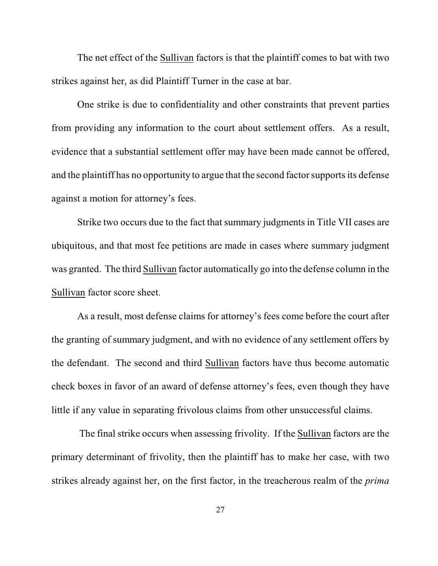The net effect of the Sullivan factors is that the plaintiff comes to bat with two strikes against her, as did Plaintiff Turner in the case at bar.

One strike is due to confidentiality and other constraints that prevent parties from providing any information to the court about settlement offers. As a result, evidence that a substantial settlement offer may have been made cannot be offered, and the plaintiff has no opportunity to argue that the second factor supports its defense against a motion for attorney's fees.

Strike two occurs due to the fact that summary judgments in Title VII cases are ubiquitous, and that most fee petitions are made in cases where summary judgment was granted. The third Sullivan factor automatically go into the defense column in the Sullivan factor score sheet.

As a result, most defense claims for attorney's fees come before the court after the granting of summary judgment, and with no evidence of any settlement offers by the defendant. The second and third Sullivan factors have thus become automatic check boxes in favor of an award of defense attorney's fees, even though they have little if any value in separating frivolous claims from other unsuccessful claims.

 The final strike occurs when assessing frivolity. If the Sullivan factors are the primary determinant of frivolity, then the plaintiff has to make her case, with two strikes already against her, on the first factor, in the treacherous realm of the *prima*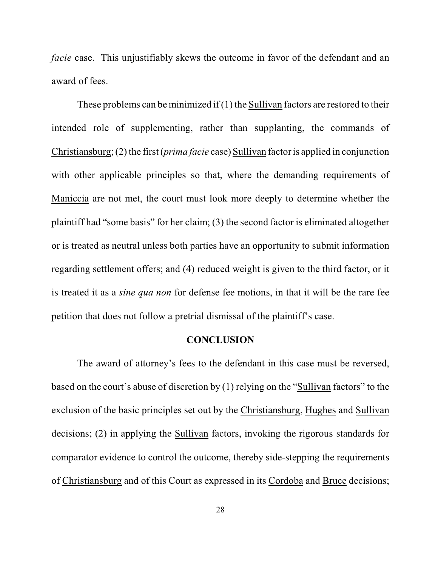*facie* case. This unjustifiably skews the outcome in favor of the defendant and an award of fees.

These problems can be minimized if (1) the Sullivan factors are restored to their intended role of supplementing, rather than supplanting, the commands of Christiansburg; (2) the first (*prima facie* case) Sullivan factor is applied in conjunction with other applicable principles so that, where the demanding requirements of Maniccia are not met, the court must look more deeply to determine whether the plaintiff had "some basis" for her claim; (3) the second factor is eliminated altogether or is treated as neutral unless both parties have an opportunity to submit information regarding settlement offers; and (4) reduced weight is given to the third factor, or it is treated it as a *sine qua non* for defense fee motions, in that it will be the rare fee petition that does not follow a pretrial dismissal of the plaintiff's case.

#### **CONCLUSION**

The award of attorney's fees to the defendant in this case must be reversed, based on the court's abuse of discretion by (1) relying on the "Sullivan factors" to the exclusion of the basic principles set out by the Christiansburg, Hughes and Sullivan decisions; (2) in applying the Sullivan factors, invoking the rigorous standards for comparator evidence to control the outcome, thereby side-stepping the requirements of Christiansburg and of this Court as expressed in its Cordoba and Bruce decisions;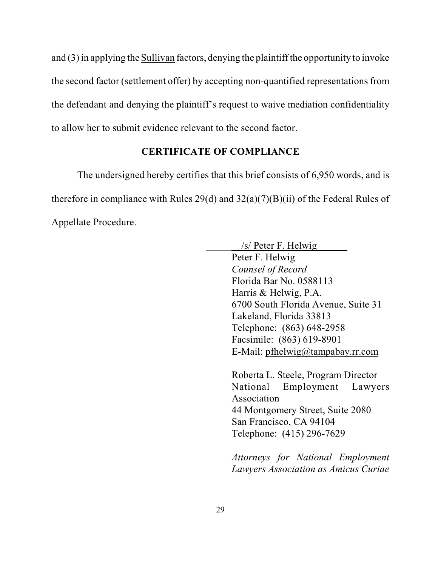and (3) in applying the Sullivan factors, denying the plaintiff the opportunity to invoke the second factor (settlement offer) by accepting non-quantified representations from the defendant and denying the plaintiff's request to waive mediation confidentiality to allow her to submit evidence relevant to the second factor.

# **CERTIFICATE OF COMPLIANCE**

The undersigned hereby certifies that this brief consists of 6,950 words, and is therefore in compliance with Rules 29(d) and 32(a)(7)(B)(ii) of the Federal Rules of Appellate Procedure.

| $/s/$ Peter F. Helwig                |
|--------------------------------------|
| Peter F. Helwig                      |
| Counsel of Record                    |
| Florida Bar No. 0588113              |
| Harris & Helwig, P.A.                |
| 6700 South Florida Avenue, Suite 31  |
| Lakeland, Florida 33813              |
| Telephone: (863) 648-2958            |
| Facsimile: (863) 619-8901            |
| E-Mail: pfhelwig@tampabay.rr.com     |
| Roberta L. Steele, Program Director  |
| National Employment Lawyers          |
| Association                          |
| 44 Montgomery Street, Suite 2080     |
| San Francisco, CA 94104              |
| Telephone: (415) 296-7629            |
|                                      |
| Attorneys for National Employment    |
| Lawyers Association as Amicus Curiae |